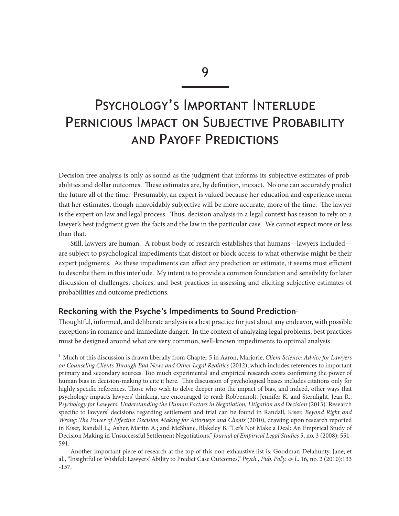# Psychology's Important Interlude PERNICIOUS IMPACT ON SUBJECTIVE PROBABILITY and Payoff Predictions

Decision tree analysis is only as sound as the judgment that informs its subjective estimates of probabilities and dollar outcomes. These estimates are, by definition, inexact. No one can accurately predict the future all of the time. Presumably, an expert is valued because her education and experience mean that her estimates, though unavoidably subjective will be more accurate, more of the time. The lawyer is the expert on law and legal process. Thus, decision analysis in a legal context has reason to rely on a lawyer's best judgment given the facts and the law in the particular case. We cannot expect more or less than that.

Still, lawyers are human. A robust body of research establishes that humans—lawyers included are subject to psychological impediments that distort or block access to what otherwise might be their expert judgments. As these impediments can affect any prediction or estimate, it seems most efficient to describe them in this interlude. My intent is to provide a common foundation and sensibility for later discussion of challenges, choices, and best practices in assessing and eliciting subjective estimates of probabilities and outcome predictions.

## **Reckoning with the Psyche's Impediments to Sound Prediction**<sup>1</sup>

Thoughtful, informed, and deliberate analysis is a best practice for just about any endeavor, with possible exceptions in romance and immediate danger. In the context of analyzing legal problems, best practices must be designed around what are very common, well-known impediments to optimal analysis.

<sup>1</sup> Much of this discussion is drawn liberally from Chapter 5 in Aaron, Marjorie, *Client Science: Advice for Lawyers on Counseling Clients Through Bad News and Other Legal Realities* (2012), which includes references to important primary and secondary sources. Too much experimental and empirical research exists confirming the power of human bias in decision-making to cite it here. This discussion of psychological biases includes citations only for highly specific references. Those who wish to delve deeper into the impact of bias, and indeed, other ways that psychology impacts lawyers' thinking, are encouraged to read: Robbennolt, Jennifer K. and Sternlight, Jean R., P*sychology for Lawyers: Understanding the Human Factors in Negotiation, Litigation and Decision* (2013). Research specific to lawyers' decisions regarding settlement and trial can be found in Randall, Kiser, *Beyond Right and Wrong: The Power of Effective Decision Making for Attorneys and Clients* (2010), drawing upon research reported in Kiser, Randall L.; Asher, Martin A.; and McShane, Blakeley B. "Let's Not Make a Deal: An Empirical Study of Decision Making in Unsuccessful Settlement Negotiations," *Journal of Empirical Legal Studies* 5, no. 3 (2008): 551- 591.

Another important piece of research at the top of this non-exhaustive list is: Goodman-Delahunty, Jane; et al., "Insightful or Wishful: Lawyers' Ability to Predict Case Outcomes," *Psych., Pub. Pol'y. & L*. 16, no. 2 (2010):133 -157.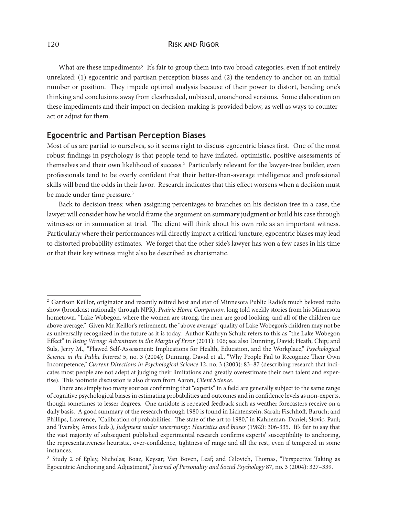What are these impediments? It's fair to group them into two broad categories, even if not entirely unrelated: (1) egocentric and partisan perception biases and (2) the tendency to anchor on an initial number or position. They impede optimal analysis because of their power to distort, bending one's thinking and conclusions away from clearheaded, unbiased, unanchored versions. Some elaboration on these impediments and their impact on decision-making is provided below, as well as ways to counteract or adjust for them.

## **Egocentric and Partisan Perception Biases**

Most of us are partial to ourselves, so it seems right to discuss egocentric biases first. One of the most robust findings in psychology is that people tend to have inflated, optimistic, positive assessments of themselves and their own likelihood of success.<sup>2</sup> Particularly relevant for the lawyer-tree builder, even professionals tend to be overly confident that their better-than-average intelligence and professional skills will bend the odds in their favor. Research indicates that this effect worsens when a decision must be made under time pressure.<sup>3</sup>

Back to decision trees: when assigning percentages to branches on his decision tree in a case, the lawyer will consider how he would frame the argument on summary judgment or build his case through witnesses or in summation at trial. The client will think about his own role as an important witness. Particularly where their performances will directly impact a critical juncture, egocentric biases may lead to distorted probability estimates. We forget that the other side's lawyer has won a few cases in his time or that their key witness might also be described as charismatic.

<sup>&</sup>lt;sup>2</sup> Garrison Keillor, originator and recently retired host and star of Minnesota Public Radio's much beloved radio show (broadcast nationally through NPR), *Prairie Home Companion*, long told weekly stories from his Minnesota hometown, "Lake Wobegon, where the women are strong, the men are good looking, and all of the children are above average." Given Mr. Keillor's retirement, the "above average" quality of Lake Wobegon's children may not be as universally recognized in the future as it is today. Author Kathryn Schulz refers to this as "the Lake Wobegon Effect" in *Being Wrong: Adventures in the Margin of Error* (2011): 106; see also Dunning, David; Heath, Chip; and Suls, Jerry M., "Flawed Self-Assessment: Implications for Health, Education, and the Workplace," *Psychological Science in the Public Interest* 5, no. 3 (2004); Dunning, David et al., "Why People Fail to Recognize Their Own Incompetence," *Current Directions in Psychological Science* 12, no. 3 (2003): 83–87 (describing research that indicates most people are not adept at judging their limitations and greatly overestimate their own talent and expertise). This footnote discussion is also drawn from Aaron, *Client Science*.

There are simply too many sources confirming that "experts" in a field are generally subject to the same range of cognitive psychological biases in estimating probabilities and outcomes and in confidence levels as non-experts, though sometimes to lesser degrees. One antidote is repeated feedback such as weather forecasters receive on a daily basis. A good summary of the research through 1980 is found in Lichtenstein, Sarah; Fischhoff, Baruch; and Phillips, Lawrence, "Calibration of probabilities: The state of the art to 1980," in Kahneman, Daniel; Slovic, Paul; and Tversky, Amos (eds.), *Judgment under uncertainty: Heuristics and biases* (1982): 306-335. It's fair to say that the vast majority of subsequent published experimental research confirms experts' susceptibility to anchoring, the representativeness heuristic, over-confidence, tightness of range and all the rest, even if tempered in some instances.

<sup>3</sup> Study 2 of Epley, Nicholas; Boaz, Keysar; Van Boven, Leaf; and Gilovich, Thomas, "Perspective Taking as Egocentric Anchoring and Adjustment," *Journal of Personality and Social Psychology* 87, no. 3 (2004): 327–339.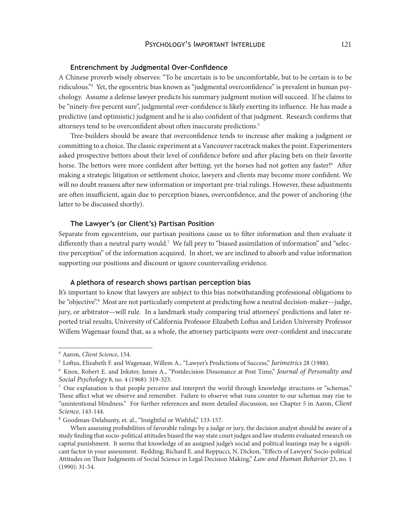## PSYCHOLOGY'S IMPORTANT INTERLUDE 121

#### **Entrenchment by Judgmental Over-Confidence**

A Chinese proverb wisely observes: "To be uncertain is to be uncomfortable, but to be certain is to be ridiculous."4 Yet, the egocentric bias known as "judgmental overconfidence" is prevalent in human psychology. Assume a defense lawyer predicts his summary judgment motion will succeed. If he claims to be "ninety-five percent sure", judgmental over-confidence is likely exerting its influence. He has made a predictive (and optimistic) judgment and he is also confident of that judgment. Research confirms that attorneys tend to be overconfident about often inaccurate predictions.5

Tree-builders should be aware that overconfidence tends to increase after making a judgment or committing to a choice. The classic experiment at a Vancouver racetrack makes the point. Experimenters asked prospective bettors about their level of confidence before and after placing bets on their favorite horse. The bettors were more confident after betting; yet the horses had not gotten any faster!<sup>6</sup> After making a strategic litigation or settlement choice, lawyers and clients may become more confident. We will no doubt reassess after new information or important pre-trial rulings. However, these adjustments are often insufficient, again due to perception biases, overconfidence, and the power of anchoring (the latter to be discussed shortly).

#### **The Lawyer's (or Client's) Partisan Position**

Separate from egocentrism, our partisan positions cause us to filter information and then evaluate it differently than a neutral party would.7 We fall prey to "biased assimilation of information" and "selective perception" of the information acquired. In short, we are inclined to absorb and value information supporting our positions and discount or ignore countervailing evidence.

#### **A plethora of research shows partisan perception bias**

It's important to know that lawyers are subject to this bias notwithstanding professional obligations to be "objective".<sup>8</sup> Most are not particularly competent at predicting how a neutral decision-maker—judge, jury, or arbitrator—will rule. In a landmark study comparing trial attorneys' predictions and later reported trial results, University of California Professor Elizabeth Loftus and Leiden University Professor Willem Wagenaar found that, as a whole, the attorney participants were over-confident and inaccurate

<sup>4</sup> Aaron, *Client Science*, 154.

<sup>5</sup> Loftus, Elizabeth F. and Wagenaar, Willem A., "Lawyer's Predictions of Success," *Jurimetrics* 28 (1988).

<sup>6</sup> Knox, Robert E. and Inkster, James A., "Postdecision Dissonance at Post Time," *Journal of Personality and Social Psychology* 8, no. 4 (1968): 319-323.

<sup>&</sup>lt;sup>7</sup> One explanation is that people perceive and interpret the world through knowledge structures or "schemas." These affect what we observe and remember. Failure to observe what runs counter to our schemas may rise to "unintentional blindness." For further references and more detailed discussion, see Chapter 5 in Aaron, *Client Science*, 143-144.

<sup>8</sup> Goodman-Delahunty, et. al., "Insightful or Wishful," 133-157.

When assessing probabilities of favorable rulings by a judge or jury, the decision analyst should be aware of a study finding that socio-political attitudes biased the way state court judges and law students evaluated research on capital punishment. It seems that knowledge of an assigned judge's social and political leanings may be a significant factor in your assessment. Redding, Richard E. and Reppucci, N. Dickon, "Effects of Lawyers' Socio-political Attitudes on Their Judgments of Social Science in Legal Decision Making," *Law and Human Behavior* 23, no. 1 (1990): 31-54.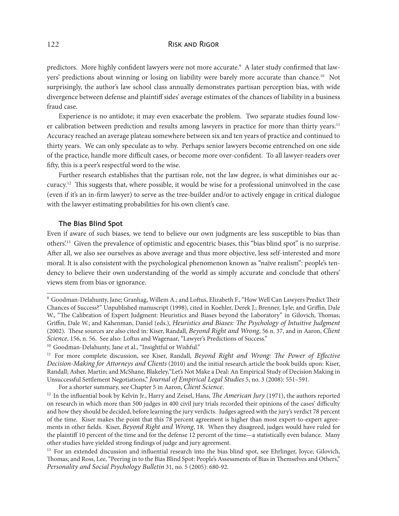predictors. More highly confident lawyers were not more accurate.<sup>9</sup> A later study confirmed that lawyers' predictions about winning or losing on liability were barely more accurate than chance.10 Not surprisingly, the author's law school class annually demonstrates partisan perception bias, with wide divergence between defense and plaintiff sides' average estimates of the chances of liability in a business fraud case.

Experience is no antidote; it may even exacerbate the problem. Two separate studies found lower calibration between prediction and results among lawyers in practice for more than thirty years.<sup>11</sup> Accuracy reached an average plateau somewhere between six and ten years of practice and continued to thirty years. We can only speculate as to why. Perhaps senior lawyers become entrenched on one side of the practice, handle more difficult cases, or become more over-confident. To all lawyer-readers over fifty, this is a peer's respectful word to the wise.

Further research establishes that the partisan role, not the law degree, is what diminishes our accuracy.12 This suggests that, where possible, it would be wise for a professional uninvolved in the case (even if it's an in-firm lawyer) to serve as the tree-builder and/or to actively engage in critical dialogue with the lawyer estimating probabilities for his own client's case.

#### **The Bias Blind Spot**

Even if aware of such biases, we tend to believe our own judgments are less susceptible to bias than others'.13 Given the prevalence of optimistic and egocentric biases, this "bias blind spot" is no surprise. After all, we also see ourselves as above average and thus more objective, less self-interested and more moral. It is also consistent with the psychological phenomenon known as "naïve realism": people's tendency to believe their own understanding of the world as simply accurate and conclude that others' views stem from bias or ignorance.

<sup>9</sup> Goodman-Delahunty, Jane; Granhag, Willem A.; and Loftus, Elizabeth F., "How Well Can Lawyers Predict Their Chances of Success?" Unpublished manuscript (1998), cited in Koehler, Derek J.; Brenner, Lyle; and Griffin, Dale W., "The Calibration of Expert Judgment: Heuristics and Biases beyond the Laboratory" in Gilovich, Thomas; Griffin, Dale W.; and Kahenman, Daniel (eds.), *Heuristics and Biases: The Psychology of Intuitive Judgment*  (2002). These sources are also cited in: Kiser, Randall, *Beyond Right and Wrong*, 56 n. 37, and in Aaron, *Client Science*, 156, n. 56. See also: Loftus and Wagenaar, "Lawyer's Predictions of Success."

<sup>&</sup>lt;sup>10</sup> Goodman-Delahunty, Jane et al., "Insightful or Wishful."

<sup>11</sup> For more complete discussion, see Kiser, Randall, *Beyond Right and Wrong: The Power of Effective Decision-Making for Attorneys and Clients* (2010) and the initial research article the book builds upon: Kiser, Randall; Asher, Martin; and McShane, Blakeley,"Let's Not Make a Deal: An Empirical Study of Decision Making in Unsuccessful Settlement Negotiations," *Journal of Empirical Legal Studies* 5, no. 3 (2008): 551–591.

For a shorter summary, see Chapter 5 in Aaron, *Client Science*.

<sup>12</sup> In the influential book by Kelvin Jr., Harry and Zeisel, Hans, *The American Jury* (1971), the authors reported on research in which more than 500 judges in 400 civil jury trials recorded their opinions of the cases' difficulty and how they should be decided, before learning the jury verdicts. Judges agreed with the jury's verdict 78 percent of the time. Kiser makes the point that this 78 percent agreement is higher than most expert-to-expert agreements in other fields. Kiser, *Beyond Right and Wrong*, 18. When they disagreed, judges would have ruled for the plaintiff 10 percent of the time and for the defense 12 percent of the time—a statistically even balance. Many other studies have yielded strong findings of judge and jury agreement.

<sup>&</sup>lt;sup>13</sup> For an extended discussion and influential research into the bias blind spot, see Ehrlinger, Joyce; Gilovich, Thomas; and Ross, Lee, "Peering in to the Bias Blind Spot: People's Assessments of Bias in Themselves and Others," *Personality and Social Psychology Bulletin* 31, no. 5 (2005): 680-92.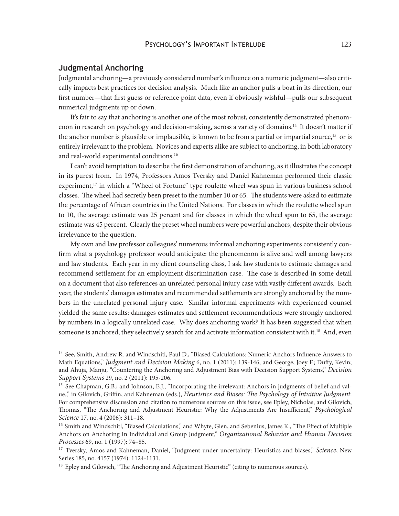## PSYCHOLOGY'S IMPORTANT INTERLUDE 123

#### **Judgmental Anchoring**

Judgmental anchoring—a previously considered number's influence on a numeric judgment—also critically impacts best practices for decision analysis. Much like an anchor pulls a boat in its direction, our first number—that first guess or reference point data, even if obviously wishful—pulls our subsequent numerical judgments up or down.

It's fair to say that anchoring is another one of the most robust, consistently demonstrated phenomenon in research on psychology and decision-making, across a variety of domains.<sup>14</sup> It doesn't matter if the anchor number is plausible or implausible, is known to be from a partial or impartial source,<sup>15</sup> or is entirely irrelevant to the problem. Novices and experts alike are subject to anchoring, in both laboratory and real-world experimental conditions.16

I can't avoid temptation to describe the first demonstration of anchoring, as it illustrates the concept in its purest from. In 1974, Professors Amos Tversky and Daniel Kahneman performed their classic experiment,<sup>17</sup> in which a "Wheel of Fortune" type roulette wheel was spun in various business school classes. The wheel had secretly been preset to the number 10 or 65. The students were asked to estimate the percentage of African countries in the United Nations. For classes in which the roulette wheel spun to 10, the average estimate was 25 percent and for classes in which the wheel spun to 65, the average estimate was 45 percent. Clearly the preset wheel numbers were powerful anchors, despite their obvious irrelevance to the question.

My own and law professor colleagues' numerous informal anchoring experiments consistently confirm what a psychology professor would anticipate: the phenomenon is alive and well among lawyers and law students. Each year in my client counseling class, I ask law students to estimate damages and recommend settlement for an employment discrimination case. The case is described in some detail on a document that also references an unrelated personal injury case with vastly different awards. Each year, the students' damages estimates and recommended settlements are strongly anchored by the numbers in the unrelated personal injury case. Similar informal experiments with experienced counsel yielded the same results: damages estimates and settlement recommendations were strongly anchored by numbers in a logically unrelated case. Why does anchoring work? It has been suggested that when someone is anchored, they selectively search for and activate information consistent with it.<sup>18</sup> And, even

<sup>&</sup>lt;sup>14</sup> See, Smith, Andrew R. and Windschitl, Paul D., "Biased Calculations: Numeric Anchors Influence Answers to Math Equations," *Judgment and Decision Making* 6, no. 1 (2011): 139-146, and George, Joey F.; Duffy, Kevin; and Ahuja, Manju, "Countering the Anchoring and Adjustment Bias with Decision Support Systems," *Decision Support Systems* 29, no. 2 (2011): 195-206.

<sup>&</sup>lt;sup>15</sup> See Chapman, G.B.; and Johnson, E.J., "Incorporating the irrelevant: Anchors in judgments of belief and value.," in Gilovich, Griffin, and Kahneman (eds.), *Heuristics and Biases: The Psychology of Intuitive Judgment*. For comprehensive discussion and citation to numerous sources on this issue, see Epley, Nicholas, and Gilovich, Thomas, "The Anchoring and Adjustment Heuristic: Why the Adjustments Are Insufficient," *Psychological Science* 17, no. 4 (2006): 311–18.

<sup>&</sup>lt;sup>16</sup> Smith and Windschitl, "Biased Calculations," and Whyte, Glen, and Sebenius, James K., "The Effect of Multiple Anchors on Anchoring In Individual and Group Judgment," *Organizational Behavior and Human Decision Processes* 69, no. 1 (1997): 74–85.

<sup>17</sup> Tversky, Amos and Kahneman, Daniel, "Judgment under uncertainty: Heuristics and biases," *Science*, New Series 185, no. 4157 (1974): 1124-1131.

<sup>&</sup>lt;sup>18</sup> Epley and Gilovich, "The Anchoring and Adjustment Heuristic" (citing to numerous sources).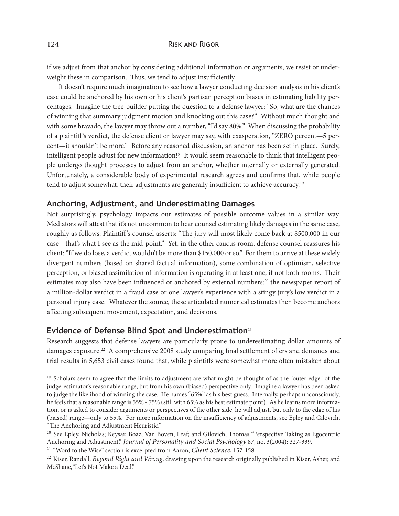if we adjust from that anchor by considering additional information or arguments, we resist or underweight these in comparison. Thus, we tend to adjust insufficiently.

It doesn't require much imagination to see how a lawyer conducting decision analysis in his client's case could be anchored by his own or his client's partisan perception biases in estimating liability percentages. Imagine the tree-builder putting the question to a defense lawyer: "So, what are the chances of winning that summary judgment motion and knocking out this case?" Without much thought and with some bravado, the lawyer may throw out a number, "I'd say 80%." When discussing the probability of a plaintiff 's verdict, the defense client or lawyer may say, with exasperation, "ZERO percent—5 percent—it shouldn't be more." Before any reasoned discussion, an anchor has been set in place. Surely, intelligent people adjust for new information!? It would seem reasonable to think that intelligent people undergo thought processes to adjust from an anchor, whether internally or externally generated. Unfortunately, a considerable body of experimental research agrees and confirms that, while people tend to adjust somewhat, their adjustments are generally insufficient to achieve accuracy.<sup>19</sup>

## **Anchoring, Adjustment, and Underestimating Damages**

Not surprisingly, psychology impacts our estimates of possible outcome values in a similar way. Mediators will attest that it's not uncommon to hear counsel estimating likely damages in the same case, roughly as follows: Plaintiff's counsel asserts: "The jury will most likely come back at \$500,000 in our case—that's what I see as the mid-point." Yet, in the other caucus room, defense counsel reassures his client: "If we do lose, a verdict wouldn't be more than \$150,000 or so." For them to arrive at these widely divergent numbers (based on shared factual information), some combination of optimism, selective perception, or biased assimilation of information is operating in at least one, if not both rooms. Their estimates may also have been influenced or anchored by external numbers:<sup>20</sup> the newspaper report of a million-dollar verdict in a fraud case or one lawyer's experience with a stingy jury's low verdict in a personal injury case. Whatever the source, these articulated numerical estimates then become anchors affecting subsequent movement, expectation, and decisions.

## **Evidence of Defense Blind Spot and Underestimation**<sup>21</sup>

Research suggests that defense lawyers are particularly prone to underestimating dollar amounts of damages exposure.<sup>22</sup> A comprehensive 2008 study comparing final settlement offers and demands and trial results in 5,653 civil cases found that, while plaintiffs were somewhat more often mistaken about

<sup>&</sup>lt;sup>19</sup> Scholars seem to agree that the limits to adjustment are what might be thought of as the "outer edge" of the judge-estimator's reasonable range, but from his own (biased) perspective only. Imagine a lawyer has been asked to judge the likelihood of winning the case. He names "65%" as his best guess. Internally, perhaps unconsciously, he feels that a reasonable range is 55% - 75% (still with 65% as his best estimate point). As he learns more information, or is asked to consider arguments or perspectives of the other side, he will adjust, but only to the edge of his (biased) range—only to 55%. For more information on the insufficiency of adjustments, see Epley and Gilovich, "The Anchoring and Adjustment Heuristic."

<sup>20</sup> See Epley, Nicholas; Keysar, Boaz; Van Boven, Leaf; and Gilovich, Thomas "Perspective Taking as Egocentric Anchoring and Adjustment," *Journal of Personality and Social Psychology* 87, no. 3(2004): 327-339.

<sup>21 &</sup>quot;Word to the Wise" section is excerpted from Aaron, *Client Science*, 157-158.

<sup>22</sup> Kiser, Randall, *Beyond Right and Wrong*, drawing upon the research originally published in Kiser, Asher, and McShane,"Let's Not Make a Deal."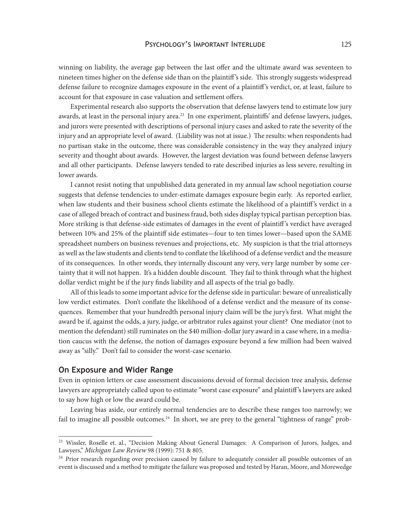#### PSYCHOLOGY'S IMPORTANT INTERLUDE 125

winning on liability, the average gap between the last offer and the ultimate award was seventeen to nineteen times higher on the defense side than on the plaintiff 's side. This strongly suggests widespread defense failure to recognize damages exposure in the event of a plaintiff 's verdict, or, at least, failure to account for that exposure in case valuation and settlement offers.

Experimental research also supports the observation that defense lawyers tend to estimate low jury awards, at least in the personal injury area.<sup>23</sup> In one experiment, plaintiffs' and defense lawyers, judges, and jurors were presented with descriptions of personal injury cases and asked to rate the severity of the injury and an appropriate level of award. (Liability was not at issue.) The results: when respondents had no partisan stake in the outcome, there was considerable consistency in the way they analyzed injury severity and thought about awards. However, the largest deviation was found between defense lawyers and all other participants. Defense lawyers tended to rate described injuries as less severe, resulting in lower awards.

I cannot resist noting that unpublished data generated in my annual law school negotiation course suggests that defense tendencies to under-estimate damages exposure begin early. As reported earlier, when law students and their business school clients estimate the likelihood of a plaintiff 's verdict in a case of alleged breach of contract and business fraud, both sides display typical partisan perception bias. More striking is that defense-side estimates of damages in the event of plaintiff 's verdict have averaged between 10% and 25% of the plaintiff side estimates—four to ten times lower—based upon the SAME spreadsheet numbers on business revenues and projections, etc. My suspicion is that the trial attorneys as well as the law students and clients tend to conflate the likelihood of a defense verdict and the measure of its consequences. In other words, they internally discount any very, very large number by some certainty that it will not happen. It's a hidden double discount. They fail to think through what the highest dollar verdict might be if the jury finds liability and all aspects of the trial go badly.

All of this leads to some important advice for the defense side in particular: beware of unrealistically low verdict estimates. Don't conflate the likelihood of a defense verdict and the measure of its consequences. Remember that your hundredth personal injury claim will be the jury's first. What might the award be if, against the odds, a jury, judge, or arbitrator rules against your client? One mediator (not to mention the defendant) still ruminates on the \$40 million-dollar jury award in a case where, in a mediation caucus with the defense, the notion of damages exposure beyond a few million had been waived away as "silly." Don't fail to consider the worst-case scenario.

#### **On Exposure and Wider Range**

Even in opinion letters or case assessment discussions devoid of formal decision tree analysis, defense lawyers are appropriately called upon to estimate "worst case exposure" and plaintiff 's lawyers are asked to say how high or low the award could be.

Leaving bias aside, our entirely normal tendencies are to describe these ranges too narrowly; we fail to imagine all possible outcomes.<sup>24</sup> In short, we are prey to the general "tightness of range" prob-

<sup>&</sup>lt;sup>23</sup> Wissler, Roselle et. al., "Decision Making About General Damages: A Comparison of Jurors, Judges, and Lawyers," *Michigan Law Review* 98 (1999): 751 & 805.

<sup>&</sup>lt;sup>24</sup> Prior research regarding over precision caused by failure to adequately consider all possible outcomes of an event is discussed and a method to mitigate the failure was proposed and tested by Haran, Moore, and Morewedge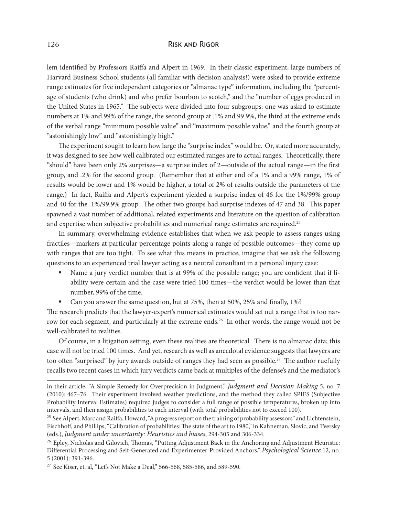lem identified by Professors Raiffa and Alpert in 1969. In their classic experiment, large numbers of Harvard Business School students (all familiar with decision analysis!) were asked to provide extreme range estimates for five independent categories or "almanac type" information, including the "percentage of students (who drink) and who prefer bourbon to scotch," and the "number of eggs produced in the United States in 1965." The subjects were divided into four subgroups: one was asked to estimate numbers at 1% and 99% of the range, the second group at .1% and 99.9%, the third at the extreme ends of the verbal range "minimum possible value" and "maximum possible value," and the fourth group at "astonishingly low" and "astonishingly high."

The experiment sought to learn how large the "surprise index" would be. Or, stated more accurately, it was designed to see how well calibrated our estimated ranges are to actual ranges. Theoretically, there "should" have been only 2% surprises—a surprise index of 2—outside of the actual range—in the first group, and .2% for the second group. (Remember that at either end of a 1% and a 99% range, 1% of results would be lower and 1% would be higher, a total of 2% of results outside the parameters of the range.) In fact, Raiffa and Alpert's experiment yielded a surprise index of 46 for the 1%/99% group and 40 for the .1%/99.9% group. The other two groups had surprise indexes of 47 and 38. This paper spawned a vast number of additional, related experiments and literature on the question of calibration and expertise when subjective probabilities and numerical range estimates are required.<sup>25</sup>

In summary, overwhelming evidence establishes that when we ask people to assess ranges using fractiles—markers at particular percentage points along a range of possible outcomes—they come up with ranges that are too tight. To see what this means in practice, imagine that we ask the following questions to an experienced trial lawyer acting as a neutral consultant in a personal injury case:

- Name a jury verdict number that is at 99% of the possible range; you are confident that if liability were certain and the case were tried 100 times—the verdict would be lower than that number, 99% of the time.
- Can you answer the same question, but at 75%, then at 50%, 25% and finally, 1%?

The research predicts that the lawyer-expert's numerical estimates would set out a range that is too narrow for each segment, and particularly at the extreme ends.<sup>26</sup> In other words, the range would not be well-calibrated to realities.

Of course, in a litigation setting, even these realities are theoretical. There is no almanac data; this case will not be tried 100 times. And yet, research as well as anecdotal evidence suggests that lawyers are too often "surprised" by jury awards outside of ranges they had seen as possible.<sup>27</sup> The author ruefully recalls two recent cases in which jury verdicts came back at multiples of the defense's and the mediator's

in their article, "A Simple Remedy for Overprecision in Judgment," *Judgment and Decision Making* 5, no. 7 (2010): 467–76. Their experiment involved weather predictions, and the method they called SPIES (Subjective Probability Interval Estimates) required judges to consider a full range of possible temperatures, broken up into intervals, and then assign probabilities to each interval (with total probabilities not to exceed 100).

<sup>&</sup>lt;sup>25</sup> See Alpert, Marc and Raiffa, Howard, "A progress report on the training of probability assessors" and Lichtenstein, Fischhoff, and Phillips, "Calibration of probabilities: The state of the art to 1980," in Kahneman, Slovic, and Tversky (eds.), *Judgment under uncertainty: Heuristics and biases*, 294-305 and 306-334.

<sup>&</sup>lt;sup>26</sup> Epley, Nicholas and Gilovich, Thomas, "Putting Adjustment Back in the Anchoring and Adjustment Heuristic: Differential Processing and Self-Generated and Experimenter-Provided Anchors," *Psychological Science* 12, no. 5 (2001): 391-396.

<sup>&</sup>lt;sup>27</sup> See Kiser, et. al, "Let's Not Make a Deal," 566-568, 585-586, and 589-590.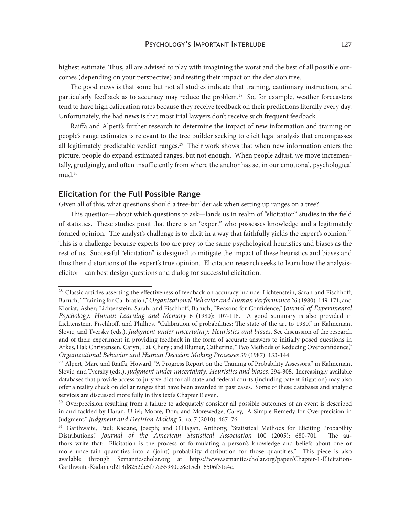highest estimate. Thus, all are advised to play with imagining the worst and the best of all possible outcomes (depending on your perspective) and testing their impact on the decision tree.

The good news is that some but not all studies indicate that training, cautionary instruction, and particularly feedback as to accuracy may reduce the problem.<sup>28</sup> So, for example, weather forecasters tend to have high calibration rates because they receive feedback on their predictions literally every day. Unfortunately, the bad news is that most trial lawyers don't receive such frequent feedback.

Raiffa and Alpert's further research to determine the impact of new information and training on people's range estimates is relevant to the tree builder seeking to elicit legal analysis that encompasses all legitimately predictable verdict ranges.<sup>29</sup> Their work shows that when new information enters the picture, people do expand estimated ranges, but not enough. When people adjust, we move incrementally, grudgingly, and often insufficiently from where the anchor has set in our emotional, psychological mud.<sup>30</sup>

#### **Elicitation for the Full Possible Range**

Given all of this, what questions should a tree-builder ask when setting up ranges on a tree?

This question—about which questions to ask—lands us in realm of "elicitation" studies in the field of statistics. These studies posit that there is an "expert" who possesses knowledge and a legitimately formed opinion. The analyst's challenge is to elicit in a way that faithfully yields the expert's opinion.<sup>31</sup> This is a challenge because experts too are prey to the same psychological heuristics and biases as the rest of us. Successful "elicitation" is designed to mitigate the impact of these heuristics and biases and thus their distortions of the expert's true opinion. Elicitation research seeks to learn how the analysiselicitor—can best design questions and dialog for successful elicitation.

<sup>&</sup>lt;sup>28</sup> Classic articles asserting the effectiveness of feedback on accuracy include: Lichtenstein, Sarah and Fischhoff, Baruch, "Training for Calibration," *Organizational Behavior and Human Performance* 26 (1980): 149-171; and Kioriat, Asher; Lichtenstein, Sarah; and Fischhoff, Baruch, "Reasons for Confidence," J*ournal of Experimental Psychology: Human Learning and Memory* 6 (1980): 107-118. A good summary is also provided in Lichtenstein, Fischhoff, and Phillips, "Calibration of probabilities: The state of the art to 1980," in Kahneman, Slovic, and Tversky (eds.), *Judgment under uncertainty: Heuristics and biases*. See discussion of the research and of their experiment in providing feedback in the form of accurate answers to initially posed questions in Arkes, Hal; Christensen, Caryn; Lai, Cheryl; and Blumer, Catherine, "Two Methods of Reducing Overconfidence," *Organizational Behavior and Human Decision Making Processes* 39 (1987): 133-144.

<sup>&</sup>lt;sup>29</sup> Alpert, Marc and Raiffa, Howard, "A Progress Report on the Training of Probability Assessors," in Kahneman, Slovic, and Tversky (eds.), *Judgment under uncertainty: Heuristics and biases*, 294-305. Increasingly available databases that provide access to jury verdict for all state and federal courts (including patent litigation) may also offer a reality check on dollar ranges that have been awarded in past cases. Some of these databases and analytic services are discussed more fully in this text's Chapter Eleven.

<sup>&</sup>lt;sup>30</sup> Overprecision resulting from a failure to adequately consider all possible outcomes of an event is described in and tackled by Haran, Uriel; Moore, Don; and Morewedge, Carey, "A Simple Remedy for Overprecision in Judgment," *Judgment and Decision Making* 5, no. 7 (2010): 467–76.

<sup>&</sup>lt;sup>31</sup> Garthwaite, Paul; Kadane, Joseph; and O'Hagan, Anthony, "Statistical Methods for Eliciting Probability Distributions," *Journal of the American Statistical Association* 100 (2005): 680-701. The authors write that: "Elicitation is the process of formulating a person's knowledge and beliefs about one or more uncertain quantities into a (joint) probability distribution for those quantities." This piece is also available through Semanticscholar.org at [https://www.semanticscholar.org/paper/Chapter-1-Elicitation-](https://www.semanticscholar.org/paper/Chapter-1-Elicitation-Garthwaite-Kadane/d213d8252de5f77a55980ee8e15eb16506f31a4)[Garthwaite-Kadane/d213d8252de5f77a55980ee8e15eb16506f31a4](https://www.semanticscholar.org/paper/Chapter-1-Elicitation-Garthwaite-Kadane/d213d8252de5f77a55980ee8e15eb16506f31a4)c.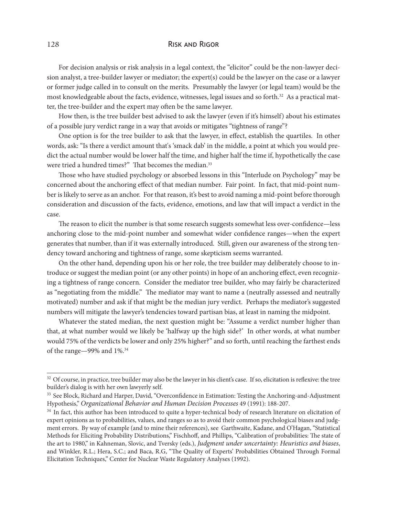For decision analysis or risk analysis in a legal context, the "elicitor" could be the non-lawyer decision analyst, a tree-builder lawyer or mediator; the expert(s) could be the lawyer on the case or a lawyer or former judge called in to consult on the merits. Presumably the lawyer (or legal team) would be the most knowledgeable about the facts, evidence, witnesses, legal issues and so forth.<sup>32</sup> As a practical matter, the tree-builder and the expert may often be the same lawyer.

How then, is the tree builder best advised to ask the lawyer (even if it's himself) about his estimates of a possible jury verdict range in a way that avoids or mitigates "tightness of range"?

One option is for the tree builder to ask that the lawyer, in effect, establish the quartiles. In other words, ask: "Is there a verdict amount that's 'smack dab' in the middle, a point at which you would predict the actual number would be lower half the time, and higher half the time if, hypothetically the case were tried a hundred times?" That becomes the median.<sup>33</sup>

Those who have studied psychology or absorbed lessons in this "Interlude on Psychology" may be concerned about the anchoring effect of that median number. Fair point. In fact, that mid-point number is likely to serve as an anchor. For that reason, it's best to avoid naming a mid-point before thorough consideration and discussion of the facts, evidence, emotions, and law that will impact a verdict in the case.

The reason to elicit the number is that some research suggests somewhat less over-confidence—less anchoring close to the mid-point number and somewhat wider confidence ranges—when the expert generates that number, than if it was externally introduced. Still, given our awareness of the strong tendency toward anchoring and tightness of range, some skepticism seems warranted.

On the other hand, depending upon his or her role, the tree builder may deliberately choose to introduce or suggest the median point (or any other points) in hope of an anchoring effect, even recognizing a tightness of range concern. Consider the mediator tree builder, who may fairly be characterized as "negotiating from the middle." The mediator may want to name a (neutrally assessed and neutrally motivated) number and ask if that might be the median jury verdict. Perhaps the mediator's suggested numbers will mitigate the lawyer's tendencies toward partisan bias, at least in naming the midpoint.

Whatever the stated median, the next question might be: "Assume a verdict number higher than that, at what number would we likely be 'halfway up the high side?' In other words, at what number would 75% of the verdicts be lower and only 25% higher?" and so forth, until reaching the farthest ends of the range—99% and 1%.34

<sup>&</sup>lt;sup>32</sup> Of course, in practice, tree builder may also be the lawyer in his client's case. If so, elicitation is reflexive: the tree builder's dialog is with her own lawyerly self.

<sup>&</sup>lt;sup>33</sup> See Block, Richard and Harper, David, "Overconfidence in Estimation: Testing the Anchoring-and-Adjustment Hypothesis," *Organizational Behavior and Human Decision Processes* 49 (1991): 188-207.

<sup>&</sup>lt;sup>34</sup> In fact, this author has been introduced to quite a hyper-technical body of research literature on elicitation of expert opinions as to probabilities, values, and ranges so as to avoid their common psychological biases and judgment errors. By way of example (and to mine their references), see Garthwaite, Kadane, and O'Hagan, "Statistical Methods for Eliciting Probability Distributions," Fischhoff, and Phillips, "Calibration of probabilities: The state of the art to 1980," in Kahneman, Slovic, and Tversky (eds.), *Judgment under uncertainty: Heuristics and biases*, and Winkler, R.L.; Hera, S.C.; and Baca, R.G, "The Quality of Experts' Probabilities Obtained Through Formal Elicitation Techniques," Center for Nuclear Waste Regulatory Analyses (1992).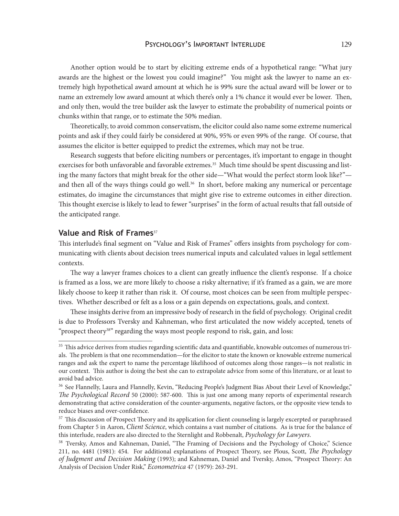Another option would be to start by eliciting extreme ends of a hypothetical range: "What jury awards are the highest or the lowest you could imagine?" You might ask the lawyer to name an extremely high hypothetical award amount at which he is 99% sure the actual award will be lower or to name an extremely low award amount at which there's only a 1% chance it would ever be lower. Then, and only then, would the tree builder ask the lawyer to estimate the probability of numerical points or chunks within that range, or to estimate the 50% median.

Theoretically, to avoid common conservatism, the elicitor could also name some extreme numerical points and ask if they could fairly be considered at 90%, 95% or even 99% of the range. Of course, that assumes the elicitor is better equipped to predict the extremes, which may not be true.

Research suggests that before eliciting numbers or percentages, it's important to engage in thought exercises for both unfavorable and favorable extremes.<sup>35</sup> Much time should be spent discussing and listing the many factors that might break for the other side—"What would the perfect storm look like?" and then all of the ways things could go well.<sup>36</sup> In short, before making any numerical or percentage estimates, do imagine the circumstances that might give rise to extreme outcomes in either direction. This thought exercise is likely to lead to fewer "surprises" in the form of actual results that fall outside of the anticipated range.

## Value and Risk of Frames<sup>37</sup>

This interlude's final segment on "Value and Risk of Frames" offers insights from psychology for communicating with clients about decision trees numerical inputs and calculated values in legal settlement contexts.

The way a lawyer frames choices to a client can greatly influence the client's response. If a choice is framed as a loss, we are more likely to choose a risky alternative; if it's framed as a gain, we are more likely choose to keep it rather than risk it. Of course, most choices can be seen from multiple perspectives. Whether described or felt as a loss or a gain depends on expectations, goals, and context.

These insights derive from an impressive body of research in the field of psychology. Original credit is due to Professors Tversky and Kahneman, who first articulated the now widely accepted, tenets of "prospect theory<sup>38"</sup> regarding the ways most people respond to risk, gain, and loss:

<sup>&</sup>lt;sup>35</sup> This advice derives from studies regarding scientific data and quantifiable, knowable outcomes of numerous trials. The problem is that one recommendation—for the elicitor to state the known or knowable extreme numerical ranges and ask the expert to name the percentage likelihood of outcomes along those ranges—is not realistic in our context. This author is doing the best she can to extrapolate advice from some of this literature, or at least to avoid bad advice.

<sup>&</sup>lt;sup>36</sup> See Flannelly, Laura and Flannelly, Kevin, "Reducing People's Judgment Bias About their Level of Knowledge," *The Psychological Record* 50 (2000): 587-600. This is just one among many reports of experimental research demonstrating that active consideration of the counter-arguments, negative factors, or the opposite view tends to reduce biases and over-confidence.

<sup>&</sup>lt;sup>37</sup> This discussion of Prospect Theory and its application for client counseling is largely excerpted or paraphrased from Chapter 5 in Aaron, *Client Science*, which contains a vast number of citations. As is true for the balance of this interlude, readers are also directed to the Sternlight and Robbenalt, *Psychology for Lawyers*.

<sup>&</sup>lt;sup>38</sup> Tversky, Amos and Kahneman, Daniel, "The Framing of Decisions and the Psychology of Choice," Science 211, no. 4481 (1981): 454. For additional explanations of Prospect Theory, see Plous, Scott, *The Psychology of Judgment and Decision Making* (1993); and Kahneman, Daniel and Tversky, Amos, "Prospect Theory: An Analysis of Decision Under Risk," *Econometrica* 47 (1979): 263-291.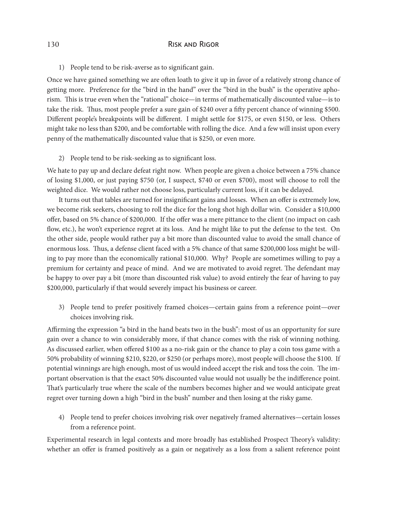1) People tend to be risk-averse as to significant gain.

Once we have gained something we are often loath to give it up in favor of a relatively strong chance of getting more. Preference for the "bird in the hand" over the "bird in the bush" is the operative aphorism. This is true even when the "rational" choice—in terms of mathematically discounted value—is to take the risk. Thus, most people prefer a sure gain of \$240 over a fifty percent chance of winning \$500. Different people's breakpoints will be different. I might settle for \$175, or even \$150, or less. Others might take no less than \$200, and be comfortable with rolling the dice. And a few will insist upon every penny of the mathematically discounted value that is \$250, or even more.

2) People tend to be risk-seeking as to significant loss.

We hate to pay up and declare defeat right now. When people are given a choice between a 75% chance of losing \$1,000, or just paying \$750 (or, I suspect, \$740 or even \$700), most will choose to roll the weighted dice. We would rather not choose loss, particularly current loss, if it can be delayed.

It turns out that tables are turned for insignificant gains and losses. When an offer is extremely low, we become risk seekers, choosing to roll the dice for the long shot high dollar win. Consider a \$10,000 offer, based on 5% chance of \$200,000. If the offer was a mere pittance to the client (no impact on cash flow, etc.), he won't experience regret at its loss. And he might like to put the defense to the test. On the other side, people would rather pay a bit more than discounted value to avoid the small chance of enormous loss. Thus, a defense client faced with a 5% chance of that same \$200,000 loss might be willing to pay more than the economically rational \$10,000. Why? People are sometimes willing to pay a premium for certainty and peace of mind. And we are motivated to avoid regret. The defendant may be happy to over pay a bit (more than discounted risk value) to avoid entirely the fear of having to pay \$200,000, particularly if that would severely impact his business or career.

3) People tend to prefer positively framed choices—certain gains from a reference point—over choices involving risk.

Affirming the expression "a bird in the hand beats two in the bush": most of us an opportunity for sure gain over a chance to win considerably more, if that chance comes with the risk of winning nothing. As discussed earlier, when offered \$100 as a no-risk gain or the chance to play a coin toss game with a 50% probability of winning \$210, \$220, or \$250 (or perhaps more), most people will choose the \$100. If potential winnings are high enough, most of us would indeed accept the risk and toss the coin. The important observation is that the exact 50% discounted value would not usually be the indifference point. That's particularly true where the scale of the numbers becomes higher and we would anticipate great regret over turning down a high "bird in the bush" number and then losing at the risky game.

4) People tend to prefer choices involving risk over negatively framed alternatives—certain losses from a reference point.

Experimental research in legal contexts and more broadly has established Prospect Theory's validity: whether an offer is framed positively as a gain or negatively as a loss from a salient reference point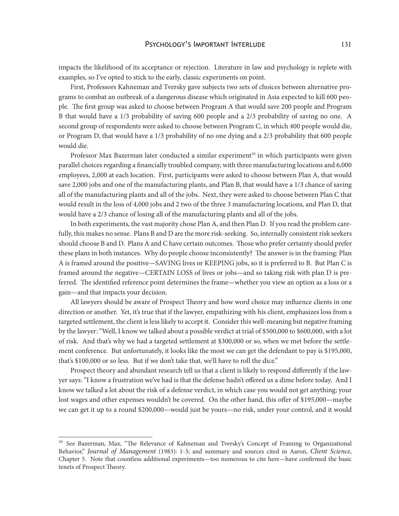impacts the likelihood of its acceptance or rejection. Literature in law and psychology is replete with examples, so I've opted to stick to the early, classic experiments on point.

First, Professors Kahneman and Tversky gave subjects two sets of choices between alternative programs to combat an outbreak of a dangerous disease which originated in Asia expected to kill 600 people. The first group was asked to choose between Program A that would save 200 people and Program B that would have a 1/3 probability of saving 600 people and a 2/3 probability of saving no one. A second group of respondents were asked to choose between Program C, in which 400 people would die, or Program D, that would have a 1/3 probability of no one dying and a 2/3 probability that 600 people would die.

Professor Max Bazerman later conducted a similar experiment<sup>39</sup> in which participants were given parallel choices regarding a financially troubled company, with three manufacturing locations and 6,000 employees, 2,000 at each location. First, participants were asked to choose between Plan A, that would save 2,000 jobs and one of the manufacturing plants, and Plan B, that would have a 1/3 chance of saving all of the manufacturing plants and all of the jobs. Next, they were asked to choose between Plan C that would result in the loss of 4,000 jobs and 2 two of the three 3 manufacturing locations, and Plan D, that would have a 2/3 chance of losing all of the manufacturing plants and all of the jobs.

In both experiments, the vast majority chose Plan A, and then Plan D. If you read the problem carefully, this makes no sense. Plans B and D are the more risk-seeking. So, internally consistent risk seekers should choose B and D. Plans A and C have certain outcomes. Those who prefer certainty should prefer these plans in both instances. Why do people choose inconsistently? The answer is in the framing: Plan A is framed around the positive—SAVING lives or KEEPING jobs, so it is preferred to B. But Plan C is framed around the negative—CERTAIN LOSS of lives or jobs—and so taking risk with plan D is preferred. The identified reference point determines the frame—whether you view an option as a loss or a gain—and that impacts your decision.

All lawyers should be aware of Prospect Theory and how word choice may influence clients in one direction or another. Yet, it's true that if the lawyer, empathizing with his client, emphasizes loss from a targeted settlement, the client is less likely to accept it. Consider this well-meaning but negative framing by the lawyer: "Well, I know we talked about a possible verdict at trial of \$500,000 to \$600,000, with a lot of risk. And that's why we had a targeted settlement at \$300,000 or so, when we met before the settlement conference. But unfortunately, it looks like the most we can get the defendant to pay is \$195,000, that's \$100,000 or so less. But if we don't take that, we'll have to roll the dice."

Prospect theory and abundant research tell us that a client is likely to respond differently if the lawyer says: "I know a frustration we've had is that the defense hadn't offered us a dime before today. And I know we talked a lot about the risk of a defense verdict, in which case you would not get anything; your lost wages and other expenses wouldn't be covered. On the other hand, this offer of \$195,000—maybe we can get it up to a round \$200,000—would just be yours—no risk, under your control, and it would

<sup>&</sup>lt;sup>39</sup> See Bazerman, Max, "The Relevance of Kahneman and Tversky's Concept of Framing to Organizational Behavior," *Journal of Management* (1983): 1-3; and summary and sources cited in Aaron, *Client Science*, Chapter 5. Note that countless additional experiments—too numerous to cite here—have confirmed the basic tenets of Prospect Theory.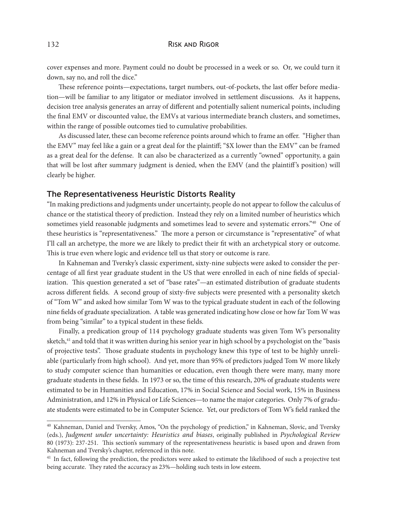cover expenses and more. Payment could no doubt be processed in a week or so. Or, we could turn it down, say no, and roll the dice."

These reference points—expectations, target numbers, out-of-pockets, the last offer before mediation—will be familiar to any litigator or mediator involved in settlement discussions. As it happens, decision tree analysis generates an array of different and potentially salient numerical points, including the final EMV or discounted value, the EMVs at various intermediate branch clusters, and sometimes, within the range of possible outcomes tied to cumulative probabilities.

As discussed later, these can become reference points around which to frame an offer. "Higher than the EMV" may feel like a gain or a great deal for the plaintiff; "\$X lower than the EMV" can be framed as a great deal for the defense. It can also be characterized as a currently "owned" opportunity, a gain that will be lost after summary judgment is denied, when the EMV (and the plaintiff 's position) will clearly be higher.

### **The Representativeness Heuristic Distorts Reality**

"In making predictions and judgments under uncertainty, people do not appear to follow the calculus of chance or the statistical theory of prediction. Instead they rely on a limited number of heuristics which sometimes yield reasonable judgments and sometimes lead to severe and systematic errors."40 One of these heuristics is "representativeness." The more a person or circumstance is "representative" of what I'll call an archetype, the more we are likely to predict their fit with an archetypical story or outcome. This is true even where logic and evidence tell us that story or outcome is rare.

In Kahneman and Tversky's classic experiment, sixty-nine subjects were asked to consider the percentage of all first year graduate student in the US that were enrolled in each of nine fields of specialization. This question generated a set of "base rates"—an estimated distribution of graduate students across different fields. A second group of sixty-five subjects were presented with a personality sketch of "Tom W" and asked how similar Tom W was to the typical graduate student in each of the following nine fields of graduate specialization. A table was generated indicating how close or how far Tom W was from being "similar" to a typical student in these fields.

Finally, a predication group of 114 psychology graduate students was given Tom W's personality sketch,<sup>41</sup> and told that it was written during his senior year in high school by a psychologist on the "basis of projective tests". Those graduate students in psychology knew this type of test to be highly unreliable (particularly from high school). And yet, more than 95% of predictors judged Tom W more likely to study computer science than humanities or education, even though there were many, many more graduate students in these fields. In 1973 or so, the time of this research, 20% of graduate students were estimated to be in Humanities and Education, 17% in Social Science and Social work, 15% in Business Administration, and 12% in Physical or Life Sciences—to name the major categories. Only 7% of graduate students were estimated to be in Computer Science. Yet, our predictors of Tom W's field ranked the

<sup>&</sup>lt;sup>40</sup> Kahneman, Daniel and Tversky, Amos, "On the psychology of prediction," in Kahneman, Slovic, and Tversky (eds.), *Judgment under uncertainty: Heuristics and biases*, originally published in *Psychological Review*  80 (1973): 237-251. This section's summary of the representativeness heuristic is based upon and drawn from Kahneman and Tversky's chapter, referenced in this note.

<sup>&</sup>lt;sup>41</sup> In fact, following the prediction, the predictors were asked to estimate the likelihood of such a projective test being accurate. They rated the accuracy as 23%—holding such tests in low esteem.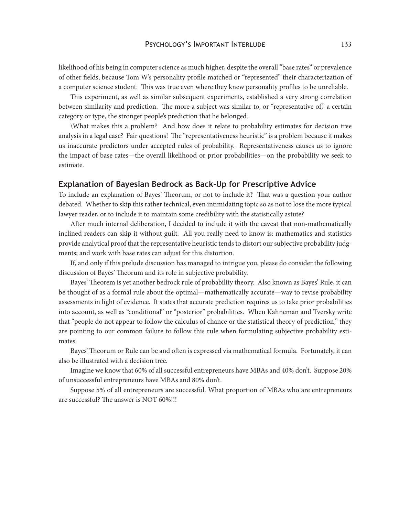likelihood of his being in computer science as much higher, despite the overall "base rates" or prevalence of other fields, because Tom W's personality profile matched or "represented" their characterization of a computer science student. This was true even where they knew personality profiles to be unreliable.

This experiment, as well as similar subsequent experiments, established a very strong correlation between similarity and prediction. The more a subject was similar to, or "representative of," a certain category or type, the stronger people's prediction that he belonged.

\What makes this a problem? And how does it relate to probability estimates for decision tree analysis in a legal case? Fair questions! The "representativeness heuristic" is a problem because it makes us inaccurate predictors under accepted rules of probability. Representativeness causes us to ignore the impact of base rates—the overall likelihood or prior probabilities—on the probability we seek to estimate.

#### **Explanation of Bayesian Bedrock as Back-Up for Prescriptive Advice**

To include an explanation of Bayes' Theorum, or not to include it? That was a question your author debated. Whether to skip this rather technical, even intimidating topic so as not to lose the more typical lawyer reader, or to include it to maintain some credibility with the statistically astute?

After much internal deliberation, I decided to include it with the caveat that non-mathematically inclined readers can skip it without guilt. All you really need to know is: mathematics and statistics provide analytical proof that the representative heuristic tends to distort our subjective probability judgments; and work with base rates can adjust for this distortion.

If, and only if this prelude discussion has managed to intrigue you, please do consider the following discussion of Bayes' Theorum and its role in subjective probability.

Bayes' Theorem is yet another bedrock rule of probability theory. Also known as Bayes' Rule, it can be thought of as a formal rule about the optimal—mathematically accurate—way to revise probability assessments in light of evidence. It states that accurate prediction requires us to take prior probabilities into account, as well as "conditional" or "posterior" probabilities. When Kahneman and Tversky write that "people do not appear to follow the calculus of chance or the statistical theory of prediction," they are pointing to our common failure to follow this rule when formulating subjective probability estimates.

Bayes' Theorum or Rule can be and often is expressed via mathematical formula. Fortunately, it can also be illustrated with a decision tree.

Imagine we know that 60% of all successful entrepreneurs have MBAs and 40% don't. Suppose 20% of unsuccessful entrepreneurs have MBAs and 80% don't.

Suppose 5% of all entrepreneurs are successful. What proportion of MBAs who are entrepreneurs are successful? The answer is NOT 60%!!!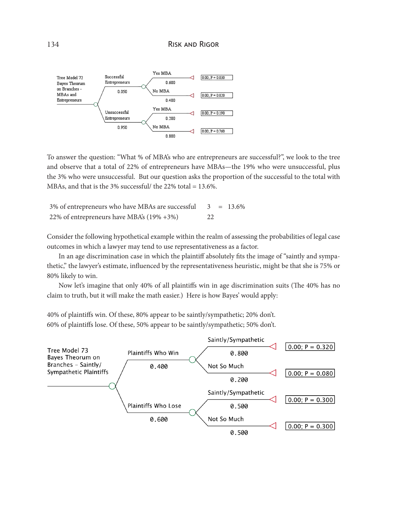

To answer the question: "What % of MBA's who are entrepreneurs are successful?", we look to the tree and observe that a total of 22% of entrepreneurs have MBAs—the 19% who were unsuccessful, plus the 3% who were unsuccessful. But our question asks the proportion of the successful to the total with MBAs, and that is the 3% successful/ the 22% total = 13.6%.

| 3% of entrepreneurs who have MBAs are successful $3 = 13.6\%$ |     |  |
|---------------------------------------------------------------|-----|--|
| 22% of entrepreneurs have MBA's $(19\% + 3\%)$                | -22 |  |

Consider the following hypothetical example within the realm of assessing the probabilities of legal case outcomes in which a lawyer may tend to use representativeness as a factor.

In an age discrimination case in which the plaintiff absolutely fits the image of "saintly and sympathetic," the lawyer's estimate, influenced by the representativeness heuristic, might be that she is 75% or 80% likely to win.

Now let's imagine that only 40% of all plaintiffs win in age discrimination suits (The 40% has no claim to truth, but it will make the math easier.) Here is how Bayes' would apply:

40% of plaintiffs win. Of these, 80% appear to be saintly/sympathetic; 20% don't. 60% of plaintiffs lose. Of these, 50% appear to be saintly/sympathetic; 50% don't.

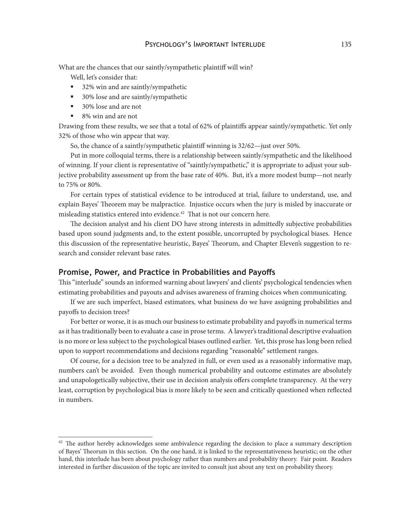What are the chances that our saintly/sympathetic plaintiff will win?

Well, let's consider that:

- 32% win and are saintly/sympathetic
- 30% lose and are saintly/sympathetic
- 30% lose and are not
- 8% win and are not

Drawing from these results, we see that a total of 62% of plaintiffs appear saintly/sympathetic. Yet only 32% of those who win appear that way.

So, the chance of a saintly/sympathetic plaintiff winning is 32/62—just over 50%.

Put in more colloquial terms, there is a relationship between saintly/sympathetic and the likelihood of winning. If your client is representative of "saintly/sympathetic," it is appropriate to adjust your subjective probability assessment up from the base rate of 40%. But, it's a more modest bump—not nearly to 75% or 80%.

For certain types of statistical evidence to be introduced at trial, failure to understand, use, and explain Bayes' Theorem may be malpractice. Injustice occurs when the jury is misled by inaccurate or misleading statistics entered into evidence.<sup>42</sup> That is not our concern here.

The decision analyst and his client DO have strong interests in admittedly subjective probabilities based upon sound judgments and, to the extent possible, uncorrupted by psychological biases. Hence this discussion of the representative heuristic, Bayes' Theorum, and Chapter Eleven's suggestion to research and consider relevant base rates.

## **Promise, Power, and Practice in Probabilities and Payoffs**

This "interlude" sounds an informed warning about lawyers' and clients' psychological tendencies when estimating probabilities and payouts and advises awareness of framing choices when communicating.

If we are such imperfect, biased estimators, what business do we have assigning probabilities and payoffs to decision trees?

For better or worse, it is as much our business to estimate probability and payoffs in numerical terms as it has traditionally been to evaluate a case in prose terms. A lawyer's traditional descriptive evaluation is no more or less subject to the psychological biases outlined earlier. Yet, this prose has long been relied upon to support recommendations and decisions regarding "reasonable" settlement ranges.

Of course, for a decision tree to be analyzed in full, or even used as a reasonably informative map, numbers can't be avoided. Even though numerical probability and outcome estimates are absolutely and unapologetically subjective, their use in decision analysis offers complete transparency. At the very least, corruption by psychological bias is more likely to be seen and critically questioned when reflected in numbers.

 $42$  The author hereby acknowledges some ambivalence regarding the decision to place a summary description of Bayes' Theorum in this section. On the one hand, it is linked to the representativeness heuristic; on the other hand, this interlude has been about psychology rather than numbers and probability theory. Fair point. Readers interested in further discussion of the topic are invited to consult just about any text on probability theory.